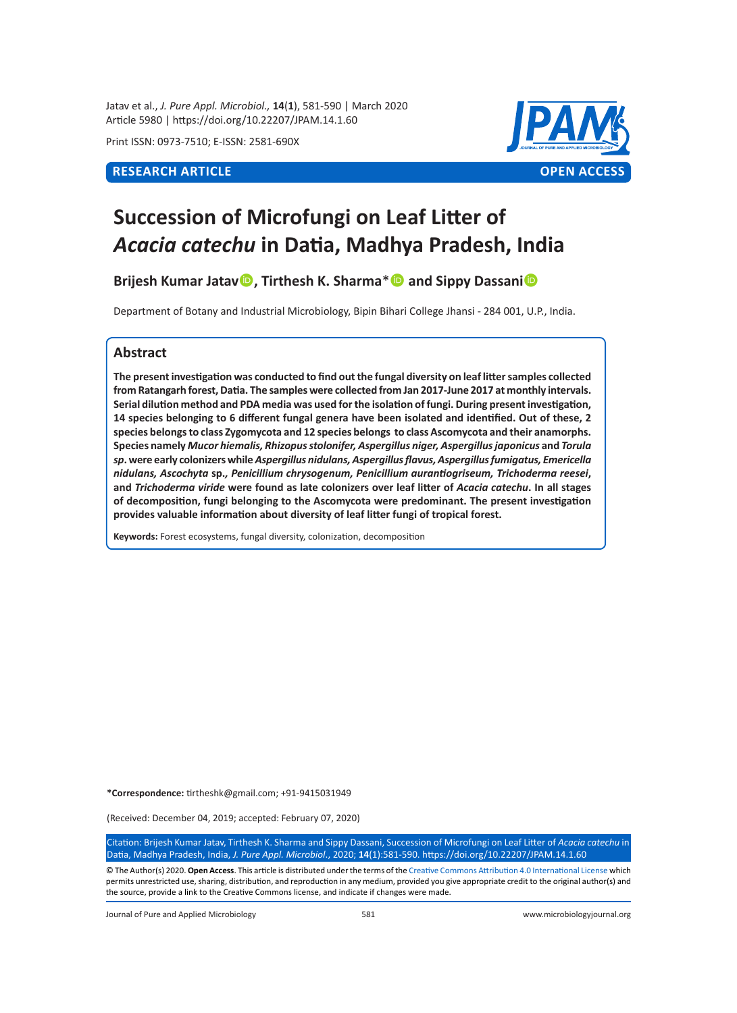Jatav et al., *J. Pure Appl. Microbiol.,* **14**(**1**), 581-590 | March 2020 Article 5980 | https://doi.org/10.22207/JPAM.14.1.60

Print ISSN: 0973-7510; E-ISSN: 2581-690X



# **Succession of Microfungi on Leaf Litter of**  *Acacia catechu* **in Datia, Madhya Pradesh, India**

**Brijesh Kumar Jatav<sup>®</sup>, Tirthesh K. Sharma<sup>\*</sup><sup>®</sup> and Sippy Dassani<sup>®</sup>** 

Department of Botany and Industrial Microbiology, Bipin Bihari College Jhansi - 284 001, U.P., India.

# **Abstract**

**The present investigation was conducted to find out the fungal diversity on leaf litter samples collected from Ratangarh forest, Datia. The samples were collected from Jan 2017-June 2017 at monthly intervals. Serial dilution method and PDA media was used for the isolation of fungi. During present investigation, 14 species belonging to 6 different fungal genera have been isolated and identified. Out of these, 2 species belongs to class Zygomycota and 12 species belongs to class Ascomycota and their anamorphs. Species namely** *Mucor hiemalis, Rhizopus stolonifer, Aspergillus niger, Aspergillus japonicus* **and** *Torula sp***. were early colonizers while** *Aspergillus nidulans, Aspergillus flavus, Aspergillus fumigatus, Emericella nidulans, Ascochyta* **sp.***, Penicillium chrysogenum, Penicillium aurantiogriseum, Trichoderma reesei***, and** *Trichoderma viride* **were found as late colonizers over leaf litter of** *Acacia catechu***. In all stages of decomposition, fungi belonging to the Ascomycota were predominant. The present investigation provides valuable information about diversity of leaf litter fungi of tropical forest.**

**Keywords:** Forest ecosystems, fungal diversity, colonization, decomposition

**\*Correspondence:** tirtheshk@gmail.com; +91-9415031949

(Received: December 04, 2019; accepted: February 07, 2020)

Citation: Brijesh Kumar Jatav, Tirthesh K. Sharma and Sippy Dassani, Succession of Microfungi on Leaf Litter of *Acacia catechu* in Datia, Madhya Pradesh, India, *J. Pure Appl. Microbiol*., 2020; **14**(1):581-590. https://doi.org/10.22207/JPAM.14.1.60

© The Author(s) 2020. **Open Access**. This article is distributed under the terms of the [Creative Commons Attribution 4.0 International License](https://creativecommons.org/licenses/by/4.0/) which permits unrestricted use, sharing, distribution, and reproduction in any medium, provided you give appropriate credit to the original author(s) and the source, provide a link to the Creative Commons license, and indicate if changes were made.

Journal of Pure and Applied Microbiology 581 www.microbiologyjournal.org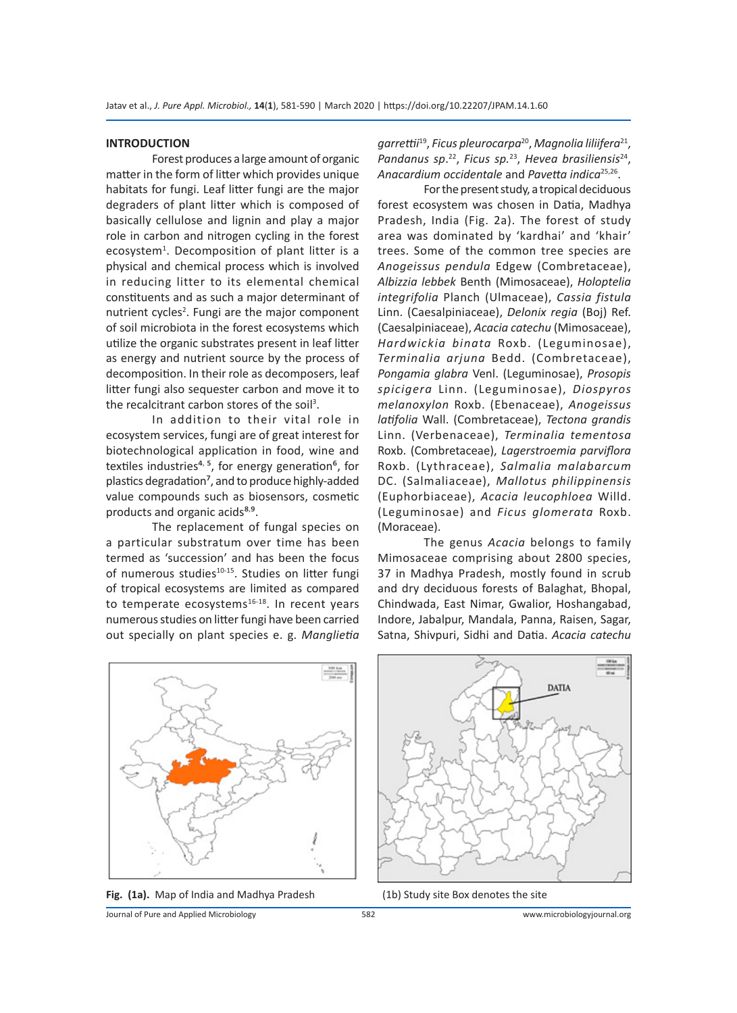#### **INTRODUCTION**

Forest produces a large amount of organic matter in the form of litter which provides unique habitats for fungi. Leaf litter fungi are the major degraders of plant litter which is composed of basically cellulose and lignin and play a major role in carbon and nitrogen cycling in the forest ecosystem<sup>1</sup>. Decomposition of plant litter is a physical and chemical process which is involved in reducing litter to its elemental chemical constituents and as such a major determinant of nutrient cycles<sup>2</sup>. Fungi are the major component of soil microbiota in the forest ecosystems which utilize the organic substrates present in leaf litter as energy and nutrient source by the process of decomposition. In their role as decomposers, leaf litter fungi also sequester carbon and move it to the recalcitrant carbon stores of the soil<sup>3</sup>.

In addition to their vital role in ecosystem services, fungi are of great interest for biotechnological application in food, wine and textiles industries<sup>4, 5</sup>, for energy generation<sup>6</sup>, for plastics degradation<sup>7</sup>, and to produce highly-added value compounds such as biosensors, cosmetic products and organic acids<sup>8,9</sup>.

The replacement of fungal species on a particular substratum over time has been termed as 'succession' and has been the focus of numerous studies<sup>10-15</sup>. Studies on litter fungi of tropical ecosystems are limited as compared to temperate ecosystems $16-18$ . In recent years numerous studies on litter fungi have been carried out specially on plant species e. g. *Manglietia*  *garrettii*19, *Ficus pleurocarpa*20, *Magnolia liliifera*21, *Pandanus sp*. 22, *Ficus sp.*23, *Hevea brasiliensis*24, *Anacardium occidentale* and *Pavetta indica*25,26.

For the present study, a tropical deciduous forest ecosystem was chosen in Datia, Madhya Pradesh, India (Fig. 2a). The forest of study area was dominated by 'kardhai' and 'khair' trees. Some of the common tree species are *Anogeissus pendula* Edgew (Combretaceae), *Albizzia lebbek* Benth (Mimosaceae), *Holoptelia integrifolia* Planch (Ulmaceae), *Cassia fistula* Linn. (Caesalpiniaceae), *Delonix regia* (Boj) Ref. (Caesalpiniaceae), *Acacia catechu* (Mimosaceae), *Hardwickia binata* Roxb. (Leguminosae), *Terminalia arjuna* Bedd. (Combretaceae), *Pongamia glabra* Venl. (Leguminosae), *Prosopis spicigera* Linn. (Leguminosae), *Diospyros melanoxylon* Roxb. (Ebenaceae), *Anogeissus latifolia* Wall. (Combretaceae), *Tectona grandis* Linn. (Verbenaceae), *Terminalia tementosa* Roxb. (Combretaceae), *Lagerstroemia parviflora*  Roxb. (Lythraceae), *Salmalia malabarcum* DC. (Salmaliaceae), *Mallotus philippinensis* (Euphorbiaceae), *Acacia leucophloea* Willd. (Leguminosae) and *Ficus glomerata* Roxb. (Moraceae).

The genus *Acacia* belongs to family Mimosaceae comprising about 2800 species, 37 in Madhya Pradesh, mostly found in scrub and dry deciduous forests of Balaghat, Bhopal, Chindwada, East Nimar, Gwalior, Hoshangabad, Indore, Jabalpur, Mandala, Panna, Raisen, Sagar, Satna, Shivpuri, Sidhi and Datia. *Acacia catechu*







Journal of Pure and Applied Microbiology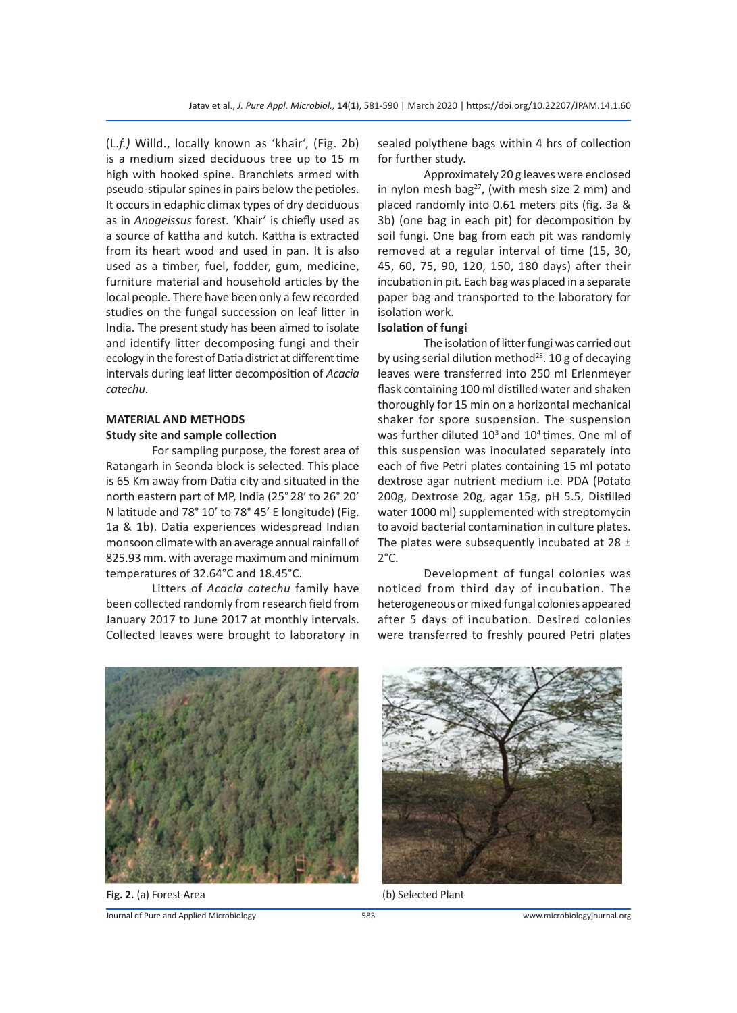(L.*f.)* Willd., locally known as 'khair', (Fig. 2b) is a medium sized deciduous tree up to 15 m high with hooked spine. Branchlets armed with pseudo-stipular spines in pairs below the petioles. It occurs in edaphic climax types of dry deciduous as in *Anogeissus* forest. 'Khair' is chiefly used as a source of kattha and kutch. Kattha is extracted from its heart wood and used in pan. It is also used as a timber, fuel, fodder, gum, medicine, furniture material and household articles by the local people. There have been only a few recorded studies on the fungal succession on leaf litter in India. The present study has been aimed to isolate and identify litter decomposing fungi and their ecology in the forest of Datia district at different time intervals during leaf litter decomposition of *Acacia catechu*.

# **MATERIAL AND METHODS Study site and sample collection**

For sampling purpose, the forest area of Ratangarh in Seonda block is selected. This place is 65 Km away from Datia city and situated in the north eastern part of MP, India (25°28' to 26° 20' N latitude and 78° 10' to 78° 45' E longitude) (Fig. 1a & 1b). Datia experiences widespread Indian monsoon climate with an average annual rainfall of 825.93 mm. with average maximum and minimum temperatures of 32.64°C and 18.45°C.

Litters of *Acacia catechu* family have been collected randomly from research field from January 2017 to June 2017 at monthly intervals. Collected leaves were brought to laboratory in sealed polythene bags within 4 hrs of collection for further study.

Approximately 20 g leaves were enclosed in nylon mesh bag $^{27}$ , (with mesh size 2 mm) and placed randomly into 0.61 meters pits (fig. 3a & 3b) (one bag in each pit) for decomposition by soil fungi. One bag from each pit was randomly removed at a regular interval of time (15, 30, 45, 60, 75, 90, 120, 150, 180 days) after their incubation in pit. Each bag was placed in a separate paper bag and transported to the laboratory for isolation work.

# **Isolation of fungi**

The isolation of litter fungi was carried out by using serial dilution method<sup>28</sup>. 10 g of decaying leaves were transferred into 250 ml Erlenmeyer flask containing 100 ml distilled water and shaken thoroughly for 15 min on a horizontal mechanical shaker for spore suspension. The suspension was further diluted  $10^3$  and  $10^4$  times. One ml of this suspension was inoculated separately into each of five Petri plates containing 15 ml potato dextrose agar nutrient medium i.e. PDA (Potato 200g, Dextrose 20g, agar 15g, pH 5.5, Distilled water 1000 ml) supplemented with streptomycin to avoid bacterial contamination in culture plates. The plates were subsequently incubated at  $28 \pm$ 2°C.

Development of fungal colonies was noticed from third day of incubation. The heterogeneous or mixed fungal colonies appeared after 5 days of incubation. Desired colonies were transferred to freshly poured Petri plates



**Fig. 2.** (a) Forest Area (b) Selected Plant

Journal of Pure and Applied Microbiology 583 www.microbiologyjournal.org

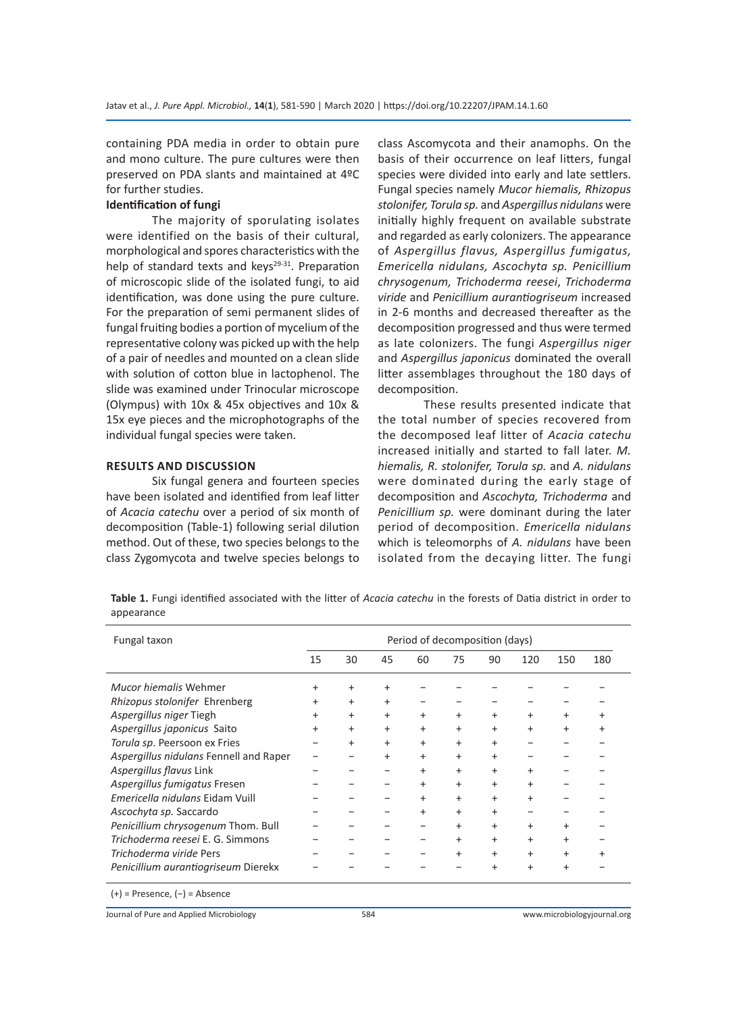containing PDA media in order to obtain pure and mono culture. The pure cultures were then preserved on PDA slants and maintained at 4ºC for further studies.

# **Identification of fungi**

The majority of sporulating isolates were identified on the basis of their cultural, morphological and spores characteristics with the help of standard texts and keys $29-31$ . Preparation of microscopic slide of the isolated fungi, to aid identification, was done using the pure culture. For the preparation of semi permanent slides of fungal fruiting bodies a portion of mycelium of the representative colony was picked up with the help of a pair of needles and mounted on a clean slide with solution of cotton blue in lactophenol. The slide was examined under Trinocular microscope (Olympus) with 10x & 45x objectives and 10x & 15x eye pieces and the microphotographs of the individual fungal species were taken.

#### **RESULTS AND DISCUSSION**

Six fungal genera and fourteen species have been isolated and identified from leaf litter of *Acacia catechu* over a period of six month of decomposition (Table-1) following serial dilution method. Out of these, two species belongs to the class Zygomycota and twelve species belongs to class Ascomycota and their anamophs. On the basis of their occurrence on leaf litters, fungal species were divided into early and late settlers. Fungal species namely *Mucor hiemalis, Rhizopus stolonifer, Torula sp.* and *Aspergillus nidulans* were initially highly frequent on available substrate and regarded as early colonizers. The appearance of *Aspergillus flavus, Aspergillus fumigatus, Emericella nidulans, Ascochyta sp. Penicillium chrysogenum, Trichoderma reesei*, *Trichoderma viride* and *Penicillium aurantiogriseum* increased in 2-6 months and decreased thereafter as the decomposition progressed and thus were termed as late colonizers. The fungi *Aspergillus niger* and *Aspergillus japonicus* dominated the overall litter assemblages throughout the 180 days of decomposition.

These results presented indicate that the total number of species recovered from the decomposed leaf litter of *Acacia catechu*  increased initially and started to fall later. *M. hiemalis, R. stolonifer, Torula sp.* and *A. nidulans*  were dominated during the early stage of decomposition and *Ascochyta, Trichoderma* and *Penicillium sp.* were dominant during the later period of decomposition. *Emericella nidulans* which is teleomorphs of *A. nidulans* have been isolated from the decaying litter. The fungi

**Table 1.** Fungi identified associated with the litter of *Acacia catechu* in the forests of Datia district in order to appearance

| Fungal taxon                           |           | Period of decomposition (days) |           |           |           |           |           |           |           |  |
|----------------------------------------|-----------|--------------------------------|-----------|-----------|-----------|-----------|-----------|-----------|-----------|--|
|                                        | 15        | 30                             | 45        | 60        | 75        | 90        | 120       | 150       | 180       |  |
| Mucor hiemalis Wehmer                  | $\ddot{}$ | +                              | +         |           |           |           |           |           |           |  |
| Rhizopus stolonifer Ehrenberg          | $\ddot{}$ | $\ddot{}$                      | $\ddot{}$ |           |           |           |           |           |           |  |
| Aspergillus niger Tiegh                | $\ddot{}$ | $\ddot{}$                      | $\ddot{}$ | $\ddot{}$ | $\ddot{}$ | ÷         | $\ddot{}$ | $\ddot{}$ | $\ddot{}$ |  |
| Aspergillus japonicus Saito            | $\ddot{}$ | $\ddot{}$                      | $\ddot{}$ | $\ddot{}$ | $\ddot{}$ | $\ddot{}$ | $\ddot{}$ | $\ddot{}$ | $\ddot{}$ |  |
| Torula sp. Peersoon ex Fries           |           | +                              | $\pm$     | $\ddot{}$ | $\ddot{}$ | ÷         |           |           |           |  |
| Aspergillus nidulans Fennell and Raper |           |                                | $\ddot{}$ | $\ddot{}$ | $\ddot{}$ | $\ddot{}$ |           |           |           |  |
| Aspergillus flavus Link                |           |                                |           | $\ddot{}$ | $\ddot{}$ | $\ddot{}$ | $\ddot{}$ |           |           |  |
| Aspergillus fumigatus Fresen           |           |                                |           | $\ddot{}$ | $\ddot{}$ | $\ddot{}$ | $\ddot{}$ |           |           |  |
| Emericella nidulans Eidam Vuill        |           |                                |           | +         | $\ddot{}$ | $\ddot{}$ | $\ddot{}$ |           |           |  |
| Ascochyta sp. Saccardo                 |           |                                |           | $\ddot{}$ | $\ddot{}$ | ÷         |           |           |           |  |
| Penicillium chrysogenum Thom. Bull     |           |                                |           |           | $\ddot{}$ | $\ddot{}$ | $\ddot{}$ | $\ddot{}$ |           |  |
| Trichoderma reesei E. G. Simmons       |           |                                |           |           | $\ddot{}$ | ÷         | $\ddot{}$ | $\ddot{}$ |           |  |
| Trichoderma viride Pers                |           |                                |           |           | $\ddot{}$ | $\ddot{}$ | $\ddot{}$ | $\ddot{}$ | +         |  |
| Penicillium aurantiogriseum Dierekx    |           |                                |           |           |           | ÷         | $\ddot{}$ | +         |           |  |
| $(+)$ = Presence, $(-)$ = Absence      |           |                                |           |           |           |           |           |           |           |  |

Journal of Pure and Applied Microbiology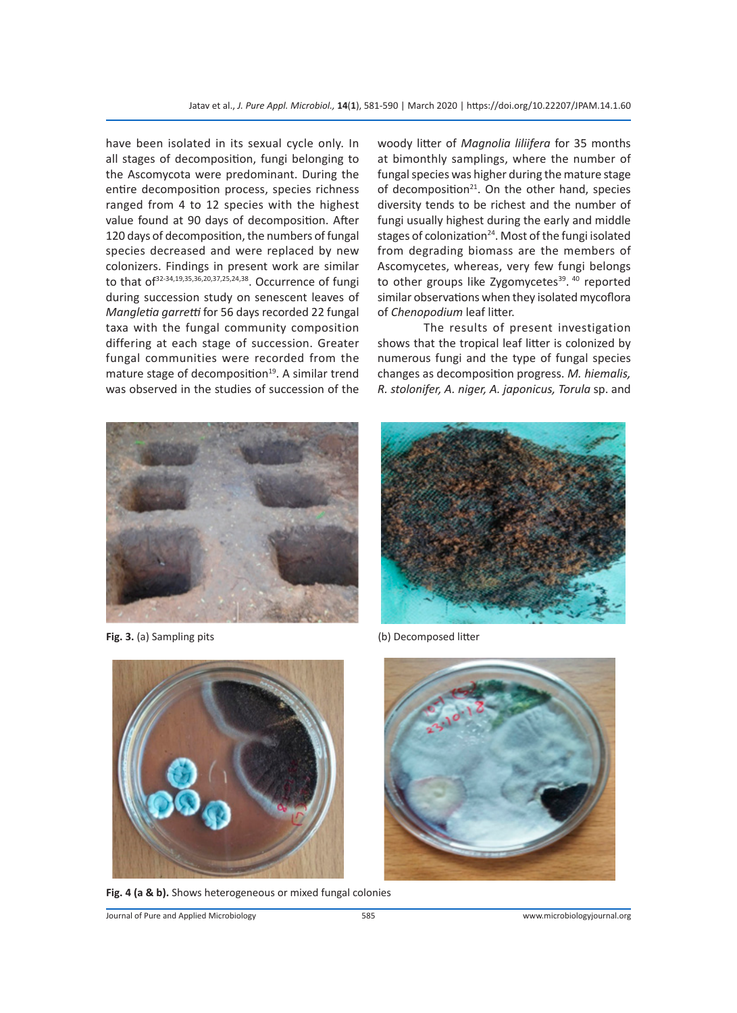have been isolated in its sexual cycle only. In all stages of decomposition, fungi belonging to the Ascomycota were predominant. During the entire decomposition process, species richness ranged from 4 to 12 species with the highest value found at 90 days of decomposition. After 120 days of decomposition, the numbers of fungal species decreased and were replaced by new colonizers. Findings in present work are similar to that of<sup>32-34,19,35,36,20,37,25,24,38</sup>. Occurrence of fungi during succession study on senescent leaves of *Mangletia garretti* for 56 days recorded 22 fungal taxa with the fungal community composition differing at each stage of succession. Greater fungal communities were recorded from the mature stage of decomposition<sup>19</sup>. A similar trend was observed in the studies of succession of the woody litter of *Magnolia liliifera* for 35 months at bimonthly samplings, where the number of fungal species was higher during the mature stage of decomposition<sup>21</sup>. On the other hand, species diversity tends to be richest and the number of fungi usually highest during the early and middle stages of colonization $24$ . Most of the fungi isolated from degrading biomass are the members of Ascomycetes, whereas, very few fungi belongs to other groups like Zygomycetes<sup>39</sup>.<sup>40</sup> reported similar observations when they isolated mycoflora of *Chenopodium* leaf litter.

The results of present investigation shows that the tropical leaf litter is colonized by numerous fungi and the type of fungal species changes as decomposition progress. *M. hiemalis, R. stolonifer, A. niger, A. japonicus, Torula* sp. and



**Fig. 3.** (a) Sampling pits (b) Decomposed litter





Fig. 4 (a & b). Shows heterogeneous or mixed fungal colonies

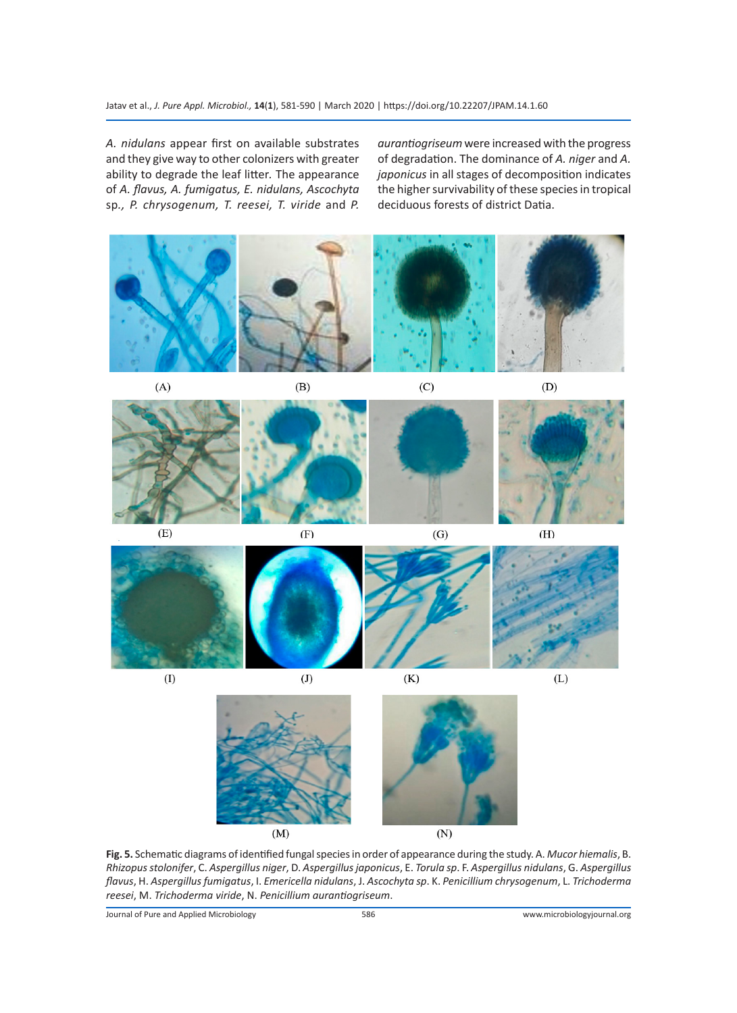Jatav et al., *J. Pure Appl. Microbiol.,* **14**(**1**), 581-590 | March 2020 | https://doi.org/10.22207/JPAM.14.1.60

*A. nidulans* appear first on available substrates and they give way to other colonizers with greater ability to degrade the leaf litter*.* The appearance of *A. flavus, A. fumigatus, E. nidulans, Ascochyta*  sp*., P. chrysogenum, T. reesei, T. viride* and *P.*  *aurantiogriseum* were increased with the progress of degradation. The dominance of *A. niger* and *A. japonicus* in all stages of decomposition indicates the higher survivability of these species in tropical deciduous forests of district Datia.





 $(E)$ 



 $(G)$ 

 $(H)$ 



 $(1)$ 





**Fig. 5.** Schematic diagrams of identified fungal species in order of appearance during the study. A. *Mucor hiemalis*, B. *Rhizopus stolonifer*, C. *Aspergillus niger*, D. *Aspergillus japonicus*, E. *Torula sp*. F. *Aspergillus nidulans*, G. *Aspergillus flavus*, H. *Aspergillus fumigatus*, I. *Emericella nidulans*, J. *Ascochyta sp*. K. *Penicillium chrysogenum*, L. *Trichoderma reesei*, M. *Trichoderma viride*, N. *Penicillium aurantiogriseum*.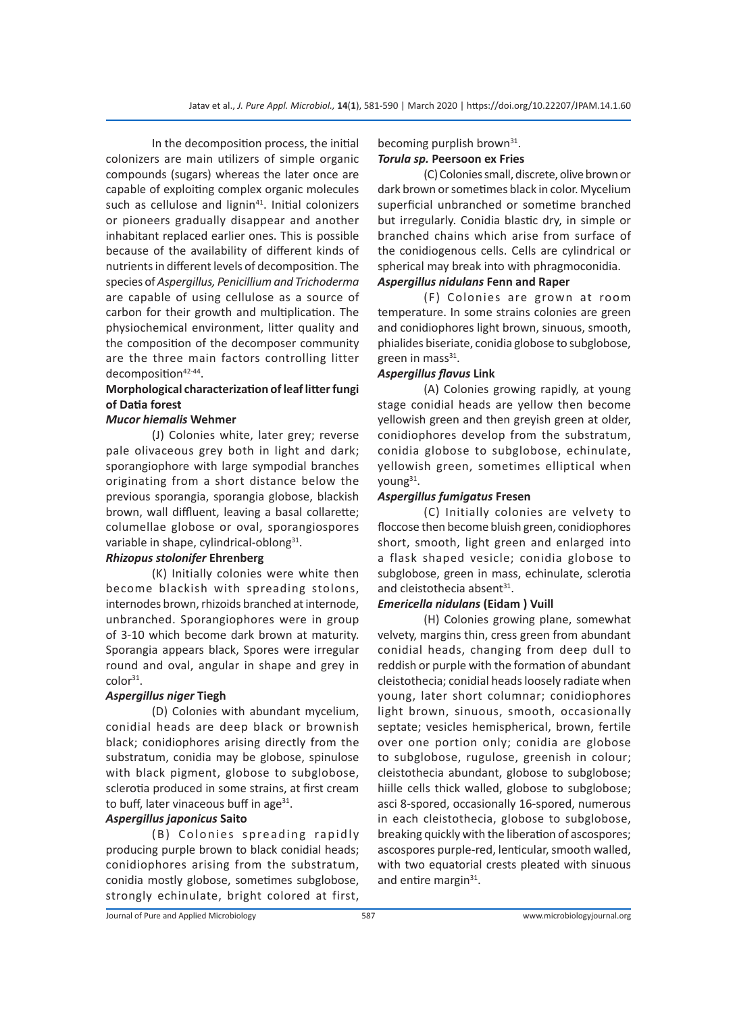In the decomposition process, the initial colonizers are main utilizers of simple organic compounds (sugars) whereas the later once are capable of exploiting complex organic molecules such as cellulose and lignin<sup>41</sup>. Initial colonizers or pioneers gradually disappear and another inhabitant replaced earlier ones. This is possible because of the availability of different kinds of nutrients in different levels of decomposition. The species of *Aspergillus, Penicillium and Trichoderma* are capable of using cellulose as a source of carbon for their growth and multiplication. The physiochemical environment, litter quality and the composition of the decomposer community are the three main factors controlling litter decomposition<sup>42-44</sup>.

# **Morphological characterization of leaf litter fungi of Datia forest**

# *Mucor hiemalis* **Wehmer**

(J) Colonies white, later grey; reverse pale olivaceous grey both in light and dark; sporangiophore with large sympodial branches originating from a short distance below the previous sporangia, sporangia globose, blackish brown, wall diffluent, leaving a basal collarette; columellae globose or oval, sporangiospores variable in shape, cylindrical-oblong<sup>31</sup>.

# *Rhizopus stolonifer* **Ehrenberg**

(K) Initially colonies were white then become blackish with spreading stolons, internodes brown, rhizoids branched at internode, unbranched. Sporangiophores were in group of 3-10 which become dark brown at maturity. Sporangia appears black, Spores were irregular round and oval, angular in shape and grey in color<sup>31</sup>.

# *Aspergillus niger* **Tiegh**

(D) Colonies with abundant mycelium, conidial heads are deep black or brownish black; conidiophores arising directly from the substratum, conidia may be globose, spinulose with black pigment, globose to subglobose, sclerotia produced in some strains, at first cream to buff, later vinaceous buff in age $31$ .

# *Aspergillus japonicus* **Saito**

(B) Colonies spreading rapidly producing purple brown to black conidial heads; conidiophores arising from the substratum, conidia mostly globose, sometimes subglobose, strongly echinulate, bright colored at first,

# becoming purplish brown<sup>31</sup>. *Torula sp.* **Peersoon ex Fries**

(C) Colonies small, discrete, olive brown or dark brown or sometimes black in color. Mycelium superficial unbranched or sometime branched but irregularly. Conidia blastic dry, in simple or branched chains which arise from surface of the conidiogenous cells. Cells are cylindrical or spherical may break into with phragmoconidia.

# *Aspergillus nidulans* **Fenn and Raper**

(F) Colonies are grown at room temperature. In some strains colonies are green and conidiophores light brown, sinuous, smooth, phialides biseriate, conidia globose to subglobose, green in mass $31$ .

# *Aspergillus flavus* **Link**

(A) Colonies growing rapidly, at young stage conidial heads are yellow then become yellowish green and then greyish green at older, conidiophores develop from the substratum, conidia globose to subglobose, echinulate, yellowish green, sometimes elliptical when young $31$ .

# *Aspergillus fumigatus* **Fresen**

(C) Initially colonies are velvety to floccose then become bluish green, conidiophores short, smooth, light green and enlarged into a flask shaped vesicle; conidia globose to subglobose, green in mass, echinulate, sclerotia and cleistothecia absent<sup>31</sup>.

# *Emericella nidulans* **(Eidam ) Vuill**

(H) Colonies growing plane, somewhat velvety, margins thin, cress green from abundant conidial heads, changing from deep dull to reddish or purple with the formation of abundant cleistothecia; conidial heads loosely radiate when young, later short columnar; conidiophores light brown, sinuous, smooth, occasionally septate; vesicles hemispherical, brown, fertile over one portion only; conidia are globose to subglobose, rugulose, greenish in colour; cleistothecia abundant, globose to subglobose; hiille cells thick walled, globose to subglobose; asci 8-spored, occasionally 16-spored, numerous in each cleistothecia, globose to subglobose, breaking quickly with the liberation of ascospores; ascospores purple-red, lenticular, smooth walled, with two equatorial crests pleated with sinuous and entire margin $31$ .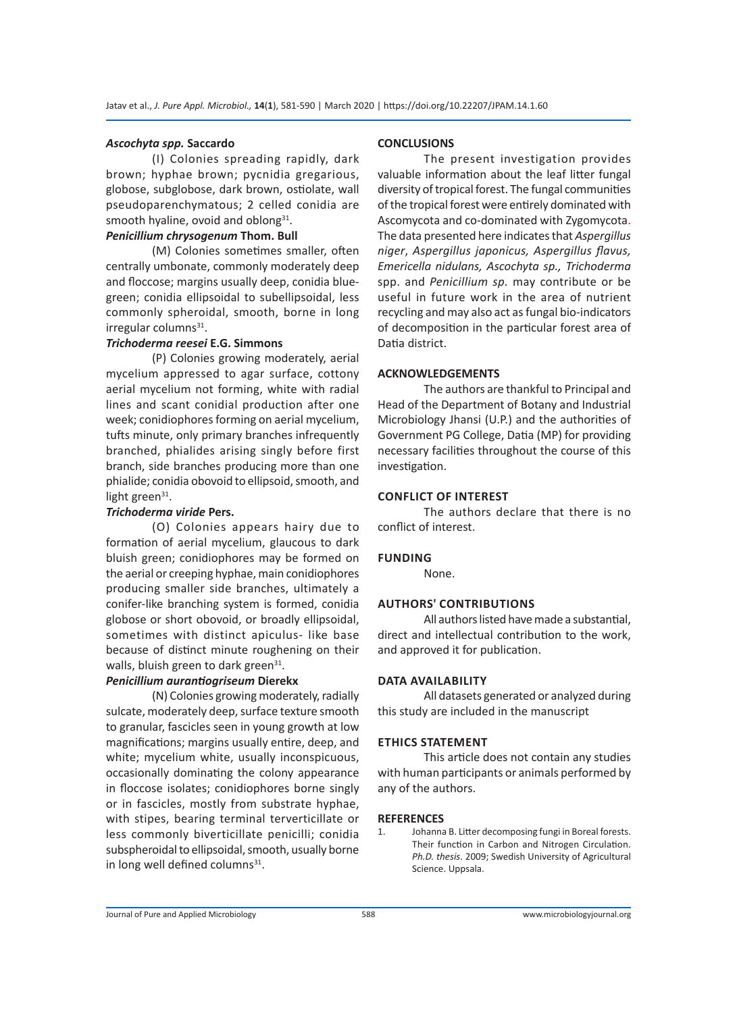#### *Ascochyta spp.* **Saccardo**

(I) Colonies spreading rapidly, dark brown; hyphae brown; pycnidia gregarious, globose, subglobose, dark brown, ostiolate, wall pseudoparenchymatous; 2 celled conidia are smooth hyaline, ovoid and oblong<sup>31</sup>.

#### *Penicillium chrysogenum* **Thom. Bull**

(M) Colonies sometimes smaller, often centrally umbonate, commonly moderately deep and floccose; margins usually deep, conidia bluegreen; conidia ellipsoidal to subellipsoidal, less commonly spheroidal, smooth, borne in long  $irregular columns<sup>31</sup>$ .

#### *Trichoderma reesei* **E.G. Simmons**

(P) Colonies growing moderately, aerial mycelium appressed to agar surface, cottony aerial mycelium not forming, white with radial lines and scant conidial production after one week; conidiophores forming on aerial mycelium, tufts minute, only primary branches infrequently branched, phialides arising singly before first branch, side branches producing more than one phialide; conidia obovoid to ellipsoid, smooth, and light green $31$ .

# *Trichoderma viride* **Pers.**

(O) Colonies appears hairy due to formation of aerial mycelium, glaucous to dark bluish green; conidiophores may be formed on the aerial or creeping hyphae, main conidiophores producing smaller side branches, ultimately a conifer-like branching system is formed, conidia globose or short obovoid, or broadly ellipsoidal, sometimes with distinct apiculus- like base because of distinct minute roughening on their walls, bluish green to dark green $31$ .

#### *Penicillium aurantiogriseum* **Dierekx**

(N) Colonies growing moderately, radially sulcate, moderately deep, surface texture smooth to granular, fascicles seen in young growth at low magnifications; margins usually entire, deep, and white; mycelium white, usually inconspicuous, occasionally dominating the colony appearance in floccose isolates; conidiophores borne singly or in fascicles, mostly from substrate hyphae, with stipes, bearing terminal terverticillate or less commonly biverticillate penicilli; conidia subspheroidal to ellipsoidal, smooth, usually borne in long well defined columns<sup>31</sup>.

#### **CONCLUSIONS**

The present investigation provides valuable information about the leaf litter fungal diversity of tropical forest. The fungal communities of the tropical forest were entirely dominated with Ascomycota and co-dominated with Zygomycota. The data presented here indicates that *Aspergillus niger*, *Aspergillus japonicus, Aspergillus flavus, Emericella nidulans, Ascochyta sp., Trichoderma* spp. and *Penicillium sp.* may contribute or be useful in future work in the area of nutrient recycling and may also act as fungal bio-indicators of decomposition in the particular forest area of Datia district.

#### **ACKNOWLEDGEMENTS**

The authors are thankful to Principal and Head of the Department of Botany and Industrial Microbiology Jhansi (U.P.) and the authorities of Government PG College, Datia (MP) for providing necessary facilities throughout the course of this investigation.

#### **CONFLICT OF INTEREST**

The authors declare that there is no conflict of interest.

# **FUNDING**

None.

# **AUTHORS' CONTRIBUTIONS**

All authors listed have made a substantial, direct and intellectual contribution to the work, and approved it for publication.

#### **DATA AVAILABILITY**

All datasets generated or analyzed during this study are included in the manuscript

#### **ETHICS STATEMENT**

This article does not contain any studies with human participants or animals performed by any of the authors.

#### **REFERENCES**

1. Johanna B. Litter decomposing fungi in Boreal forests. Their function in Carbon and Nitrogen Circulation. *Ph.D. thesis*. 2009; Swedish University of Agricultural Science. Uppsala.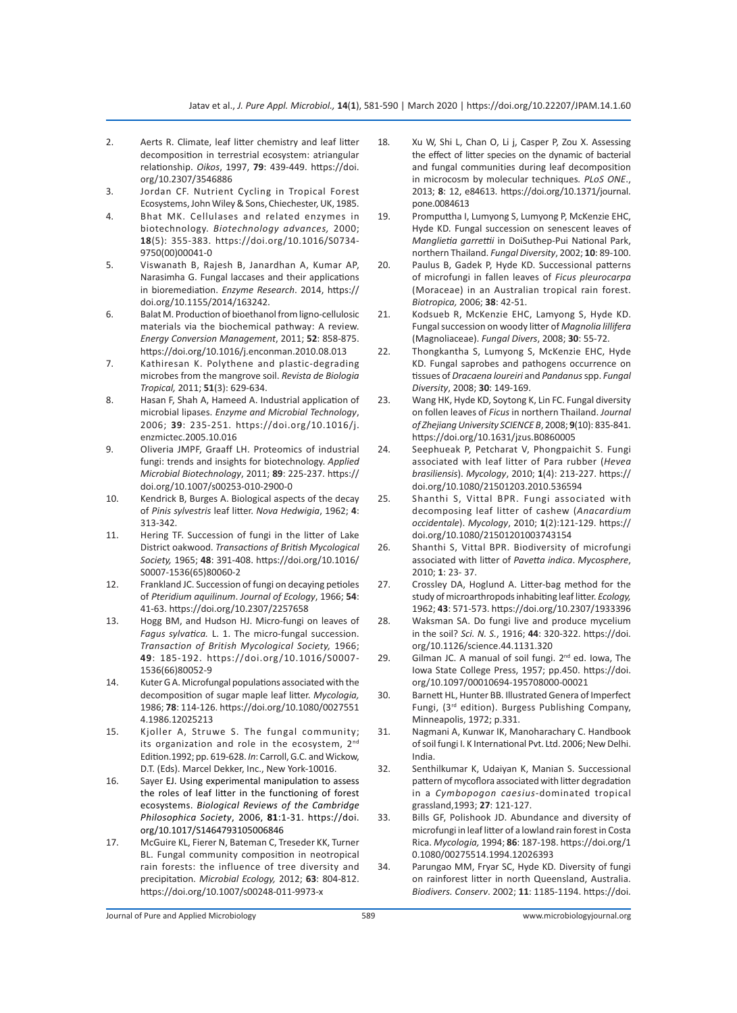- 2. Aerts R. Climate, leaf litter chemistry and leaf litter decomposition in terrestrial ecosystem: atriangular relationship. *Oikos*, 1997, **79**: 439-449. https://doi. org/10.2307/3546886
- 3. Jordan CF. Nutrient Cycling in Tropical Forest Ecosystems, John Wiley & Sons, Chiechester, UK, 1985.
- 4. Bhat MK. Cellulases and related enzymes in biotechnology. *Biotechnology advances,* 2000; **18**(5): 355-383. https://doi.org/10.1016/S0734- 9750(00)00041-0
- 5. Viswanath B, Rajesh B, Janardhan A, Kumar AP, Narasimha G. Fungal laccases and their applications in bioremediation. *Enzyme Research*. 2014, https:// doi.org/10.1155/2014/163242.
- 6. Balat M. Production of bioethanol from ligno-cellulosic materials via the biochemical pathway: A review. *Energy Conversion Management*, 2011; **52**: 858-875. https://doi.org/10.1016/j.enconman.2010.08.013
- 7. Kathiresan K. Polythene and plastic-degrading microbes from the mangrove soil. *Revista de Biologia Tropical,* 2011; **51**(3): 629-634.
- 8. Hasan F, Shah A, Hameed A. Industrial application of microbial lipases. *Enzyme and Microbial Technology*, 2006; **39**: 235-251. https://doi.org/10.1016/j. enzmictec.2005.10.016
- 9. Oliveria JMPF, Graaff LH. Proteomics of industrial fungi: trends and insights for biotechnology. *Applied Microbial Biotechnology*, 2011; **89**: 225-237. https:// doi.org/10.1007/s00253-010-2900-0
- 10. Kendrick B, Burges A. Biological aspects of the decay of *Pinis sylvestris* leaf litter. *Nova Hedwigia*, 1962; **4**: 313-342.
- 11. Hering TF. Succession of fungi in the litter of Lake District oakwood. *Transactions of British Mycological Society,* 1965; **48**: 391-408. https://doi.org/10.1016/ S0007-1536(65)80060-2
- 12. Frankland JC. Succession of fungi on decaying petioles of *Pteridium aquilinum*. *Journal of Ecology*, 1966; **54**: 41-63. https://doi.org/10.2307/2257658
- 13. Hogg BM, and Hudson HJ. Micro-fungi on leaves of *Fagus sylvatica.* L. 1. The micro-fungal succession. *Transaction of British Mycological Society,* 1966; **49**: 185-192. https://doi.org/10.1016/S0007- 1536(66)80052-9
- 14. Kuter G A. Microfungal populations associated with the decomposition of sugar maple leaf litter. *Mycologia,* 1986; **78**: 114-126. https://doi.org/10.1080/0027551 4.1986.12025213
- 15. Kjoller A, Struwe S. The fungal community; its organization and role in the ecosystem. 2<sup>nd</sup> Edition.1992; pp. 619-628. *In*: Carroll, G.C. and Wickow, D.T. (Eds). Marcel Dekker, Inc., New York-10016.
- 16. Sayer EJ. Using experimental manipulation to assess the roles of leaf litter in the functioning of forest ecosystems. *Biological Reviews of the Cambridge Philosophica Society*, 2006, **81**:1-31. https://doi. org/10.1017/S1464793105006846
- 17. McGuire KL, Fierer N, Bateman C, Treseder KK, Turner BL. Fungal community composition in neotropical rain forests: the influence of tree diversity and precipitation. *Microbial Ecology,* 2012; **63**: 804-812. https://doi.org/10.1007/s00248-011-9973-x
- 18. Xu W, Shi L, Chan O, Li j, Casper P, Zou X. Assessing the effect of litter species on the dynamic of bacterial and fungal communities during leaf decomposition in microcosm by molecular techniques*. PLoS ONE*., 2013; **8**: 12, e84613. https://doi.org/10.1371/journal. pone.0084613
- 19. Promputtha I, Lumyong S, Lumyong P, McKenzie EHC, Hyde KD. Fungal succession on senescent leaves of *Manglietia garrettii* in DoiSuthep-Pui National Park, northern Thailand. *Fungal Diversity*, 2002; **10**: 89-100.
- 20. Paulus B, Gadek P, Hyde KD. Successional patterns of microfungi in fallen leaves of *Ficus pleurocarpa*  (Moraceae) in an Australian tropical rain forest. *Biotropica,* 2006; **38**: 42-51.
- 21. Kodsueb R, McKenzie EHC, Lamyong S, Hyde KD. Fungal succession on woody litter of *Magnolia lillifera* (Magnoliaceae). *Fungal Divers*, 2008; **30**: 55-72.
- 22. Thongkantha S, Lumyong S, McKenzie EHC, Hyde KD. Fungal saprobes and pathogens occurrence on tissues of *Dracaena loureiri* and *Pandanus* spp. *Fungal Diversity*, 2008; **30**: 149-169.
- 23. Wang HK, Hyde KD, Soytong K, Lin FC. Fungal diversity on follen leaves of *Ficus* in northern Thailand. *Journal of Zhejiang University SCIENCE B*, 2008; **9**(10): 835-841. https://doi.org/10.1631/jzus.B0860005
- 24. Seephueak P, Petcharat V, Phongpaichit S. Fungi associated with leaf litter of Para rubber (*Hevea brasiliensis*). *Mycology*, 2010; **1**(4): 213-227. https:// doi.org/10.1080/21501203.2010.536594
- 25. Shanthi S, Vittal BPR. Fungi associated with decomposing leaf litter of cashew (*Anacardium occidentale*). *Mycology*, 2010; **1**(2):121-129. https:// doi.org/10.1080/21501201003743154
- 26. Shanthi S, Vittal BPR. Biodiversity of microfungi associated with litter of *Pavetta indica*. *Mycosphere*, 2010; **1**: 23- 37.
- 27. Crossley DA, Hoglund A. Litter-bag method for the study of microarthropods inhabiting leaf litter. *Ecology,* 1962; **43**: 571-573. https://doi.org/10.2307/1933396
- 28. Waksman SA. Do fungi live and produce mycelium in the soil? *Sci. N. S.*, 1916; **44**: 320-322. https://doi. org/10.1126/science.44.1131.320
- 29. Gilman JC. A manual of soil fungi. 2<sup>nd</sup> ed. Iowa, The Iowa State College Press, 1957; pp.450. https://doi. org/10.1097/00010694-195708000-00021
- 30. Barnett HL, Hunter BB. Illustrated Genera of Imperfect Fungi, (3rd edition). Burgess Publishing Company, Minneapolis, 1972; p.331.
- 31. Nagmani A, Kunwar IK, Manoharachary C. Handbook of soil fungi I. K International Pvt. Ltd. 2006; New Delhi. India.
- 32. Senthilkumar K, Udaiyan K, Manian S. Successional pattern of mycoflora associated with litter degradation in a *Cymbopogon caesius-*dominated tropical grassland,1993; **27**: 121-127.
- 33. Bills GF, Polishook JD. Abundance and diversity of microfungi in leaf litter of a lowland rain forest in Costa Rica. *Mycologia,* 1994; **86**: 187-198. https://doi.org/1 0.1080/00275514.1994.12026393
- 34. Parungao MM, Fryar SC, Hyde KD. Diversity of fungi on rainforest litter in north Queensland, Australia. *Biodivers. Conserv*. 2002; **11**: 1185-1194. https://doi.